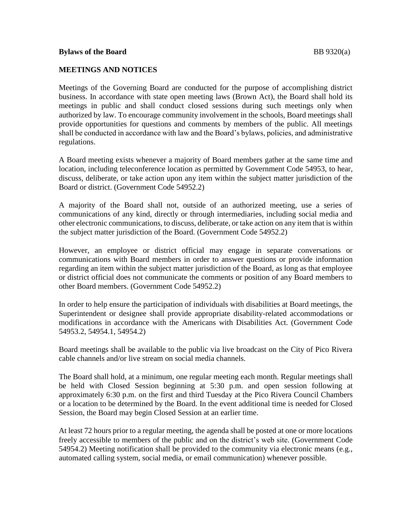## **MEETINGS AND NOTICES**

Meetings of the Governing Board are conducted for the purpose of accomplishing district business. In accordance with state open meeting laws (Brown Act), the Board shall hold its meetings in public and shall conduct closed sessions during such meetings only when authorized by law. To encourage community involvement in the schools, Board meetings shall provide opportunities for questions and comments by members of the public. All meetings shall be conducted in accordance with law and the Board's bylaws, policies, and administrative regulations.

A Board meeting exists whenever a majority of Board members gather at the same time and location, including teleconference location as permitted by Government Code 54953, to hear, discuss, deliberate, or take action upon any item within the subject matter jurisdiction of the Board or district. (Government Code 54952.2)

A majority of the Board shall not, outside of an authorized meeting, use a series of communications of any kind, directly or through intermediaries, including social media and other electronic communications, to discuss, deliberate, or take action on any item that is within the subject matter jurisdiction of the Board. (Government Code 54952.2)

However, an employee or district official may engage in separate conversations or communications with Board members in order to answer questions or provide information regarding an item within the subject matter jurisdiction of the Board, as long as that employee or district official does not communicate the comments or position of any Board members to other Board members. (Government Code 54952.2)

In order to help ensure the participation of individuals with disabilities at Board meetings, the Superintendent or designee shall provide appropriate disability-related accommodations or modifications in accordance with the Americans with Disabilities Act. (Government Code 54953.2, 54954.1, 54954.2)

Board meetings shall be available to the public via live broadcast on the City of Pico Rivera cable channels and/or live stream on social media channels.

The Board shall hold, at a minimum, one regular meeting each month. Regular meetings shall be held with Closed Session beginning at 5:30 p.m. and open session following at approximately 6:30 p.m. on the first and third Tuesday at the Pico Rivera Council Chambers or a location to be determined by the Board. In the event additional time is needed for Closed Session, the Board may begin Closed Session at an earlier time.

At least 72 hours prior to a regular meeting, the agenda shall be posted at one or more locations freely accessible to members of the public and on the district's web site. (Government Code 54954.2) Meeting notification shall be provided to the community via electronic means (e.g., automated calling system, social media, or email communication) whenever possible.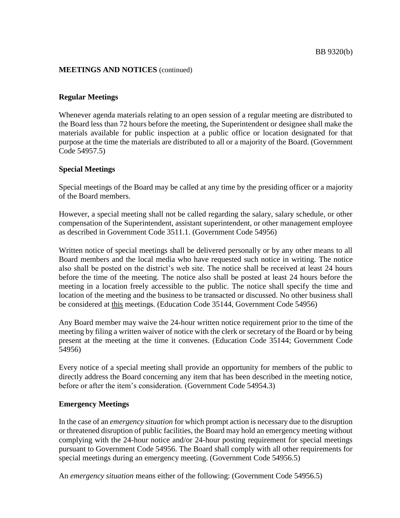## **Regular Meetings**

Whenever agenda materials relating to an open session of a regular meeting are distributed to the Board less than 72 hours before the meeting, the Superintendent or designee shall make the materials available for public inspection at a public office or location designated for that purpose at the time the materials are distributed to all or a majority of the Board. (Government Code 54957.5)

## **Special Meetings**

Special meetings of the Board may be called at any time by the presiding officer or a majority of the Board members.

However, a special meeting shall not be called regarding the salary, salary schedule, or other compensation of the Superintendent, assistant superintendent, or other management employee as described in Government Code 3511.1. (Government Code 54956)

Written notice of special meetings shall be delivered personally or by any other means to all Board members and the local media who have requested such notice in writing. The notice also shall be posted on the district's web site. The notice shall be received at least 24 hours before the time of the meeting. The notice also shall be posted at least 24 hours before the meeting in a location freely accessible to the public. The notice shall specify the time and location of the meeting and the business to be transacted or discussed. No other business shall be considered at this meetings. (Education Code 35144, Government Code 54956)

Any Board member may waive the 24-hour written notice requirement prior to the time of the meeting by filing a written waiver of notice with the clerk or secretary of the Board or by being present at the meeting at the time it convenes. (Education Code 35144; Government Code 54956)

Every notice of a special meeting shall provide an opportunity for members of the public to directly address the Board concerning any item that has been described in the meeting notice, before or after the item's consideration. (Government Code 54954.3)

## **Emergency Meetings**

In the case of an *emergency situation* for which prompt action is necessary due to the disruption or threatened disruption of public facilities, the Board may hold an emergency meeting without complying with the 24-hour notice and/or 24-hour posting requirement for special meetings pursuant to Government Code 54956. The Board shall comply with all other requirements for special meetings during an emergency meeting. (Government Code 54956.5)

An *emergency situation* means either of the following: (Government Code 54956.5)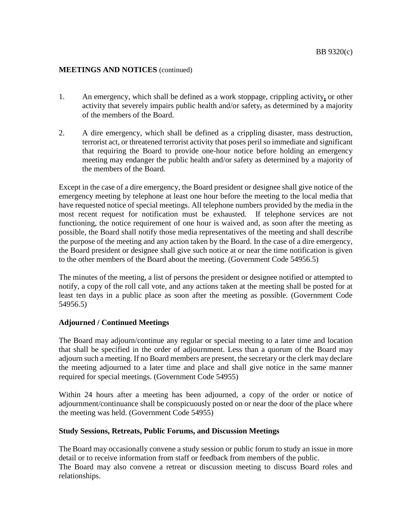- 1. An emergency, which shall be defined as a work stoppage, crippling activity**,** or other activity that severely impairs public health and/or safety, as determined by a majority of the members of the Board.
- 2. A dire emergency, which shall be defined as a crippling disaster, mass destruction, terrorist act, or threatened terrorist activity that poses peril so immediate and significant that requiring the Board to provide one-hour notice before holding an emergency meeting may endanger the public health and/or safety as determined by a majority of the members of the Board.

Except in the case of a dire emergency, the Board president or designee shall give notice of the emergency meeting by telephone at least one hour before the meeting to the local media that have requested notice of special meetings. All telephone numbers provided by the media in the most recent request for notification must be exhausted. If telephone services are not functioning, the notice requirement of one hour is waived and, as soon after the meeting as possible, the Board shall notify those media representatives of the meeting and shall describe the purpose of the meeting and any action taken by the Board. In the case of a dire emergency, the Board president or designee shall give such notice at or near the time notification is given to the other members of the Board about the meeting. (Government Code 54956.5)

The minutes of the meeting, a list of persons the president or designee notified or attempted to notify, a copy of the roll call vote, and any actions taken at the meeting shall be posted for at least ten days in a public place as soon after the meeting as possible. (Government Code 54956.5)

## **Adjourned / Continued Meetings**

The Board may adjourn/continue any regular or special meeting to a later time and location that shall be specified in the order of adjournment. Less than a quorum of the Board may adjourn such a meeting. If no Board members are present, the secretary or the clerk may declare the meeting adjourned to a later time and place and shall give notice in the same manner required for special meetings. (Government Code 54955)

Within 24 hours after a meeting has been adjourned, a copy of the order or notice of adjournment/continuance shall be conspicuously posted on or near the door of the place where the meeting was held. (Government Code 54955)

#### **Study Sessions, Retreats, Public Forums, and Discussion Meetings**

The Board may occasionally convene a study session or public forum to study an issue in more detail or to receive information from staff or feedback from members of the public. The Board may also convene a retreat or discussion meeting to discuss Board roles and

relationships.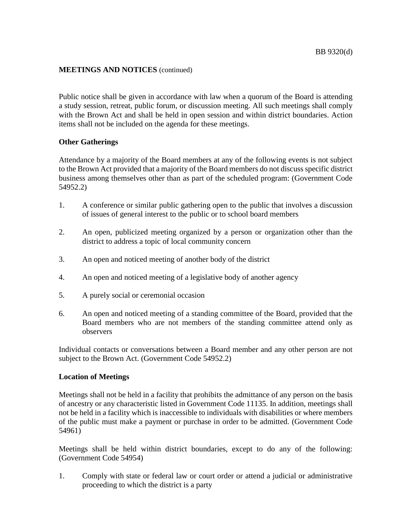Public notice shall be given in accordance with law when a quorum of the Board is attending a study session, retreat, public forum, or discussion meeting. All such meetings shall comply with the Brown Act and shall be held in open session and within district boundaries. Action items shall not be included on the agenda for these meetings.

## **Other Gatherings**

Attendance by a majority of the Board members at any of the following events is not subject to the Brown Act provided that a majority of the Board members do not discuss specific district business among themselves other than as part of the scheduled program: (Government Code 54952.2)

- 1. A conference or similar public gathering open to the public that involves a discussion of issues of general interest to the public or to school board members
- 2. An open, publicized meeting organized by a person or organization other than the district to address a topic of local community concern
- 3. An open and noticed meeting of another body of the district
- 4. An open and noticed meeting of a legislative body of another agency
- 5. A purely social or ceremonial occasion
- 6. An open and noticed meeting of a standing committee of the Board, provided that the Board members who are not members of the standing committee attend only as observers

Individual contacts or conversations between a Board member and any other person are not subject to the Brown Act. (Government Code 54952.2)

#### **Location of Meetings**

Meetings shall not be held in a facility that prohibits the admittance of any person on the basis of ancestry or any characteristic listed in Government Code 11135. In addition, meetings shall not be held in a facility which is inaccessible to individuals with disabilities or where members of the public must make a payment or purchase in order to be admitted. (Government Code 54961)

Meetings shall be held within district boundaries, except to do any of the following: (Government Code 54954)

1. Comply with state or federal law or court order or attend a judicial or administrative proceeding to which the district is a party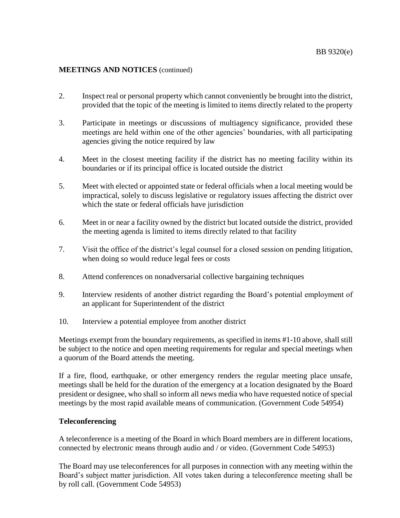- 2. Inspect real or personal property which cannot conveniently be brought into the district, provided that the topic of the meeting is limited to items directly related to the property
- 3. Participate in meetings or discussions of multiagency significance, provided these meetings are held within one of the other agencies' boundaries, with all participating agencies giving the notice required by law
- 4. Meet in the closest meeting facility if the district has no meeting facility within its boundaries or if its principal office is located outside the district
- 5. Meet with elected or appointed state or federal officials when a local meeting would be impractical, solely to discuss legislative or regulatory issues affecting the district over which the state or federal officials have jurisdiction
- 6. Meet in or near a facility owned by the district but located outside the district, provided the meeting agenda is limited to items directly related to that facility
- 7. Visit the office of the district's legal counsel for a closed session on pending litigation, when doing so would reduce legal fees or costs
- 8. Attend conferences on nonadversarial collective bargaining techniques
- 9. Interview residents of another district regarding the Board's potential employment of an applicant for Superintendent of the district
- 10. Interview a potential employee from another district

Meetings exempt from the boundary requirements, as specified in items #1-10 above, shall still be subject to the notice and open meeting requirements for regular and special meetings when a quorum of the Board attends the meeting.

If a fire, flood, earthquake, or other emergency renders the regular meeting place unsafe, meetings shall be held for the duration of the emergency at a location designated by the Board president or designee, who shall so inform all news media who have requested notice of special meetings by the most rapid available means of communication. (Government Code 54954)

## **Teleconferencing**

A teleconference is a meeting of the Board in which Board members are in different locations, connected by electronic means through audio and / or video. (Government Code 54953)

The Board may use teleconferences for all purposes in connection with any meeting within the Board's subject matter jurisdiction. All votes taken during a teleconference meeting shall be by roll call. (Government Code 54953)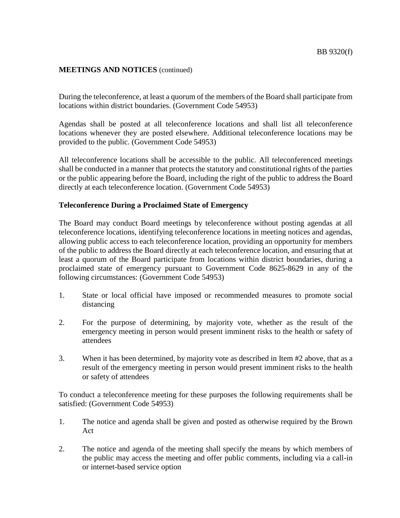During the teleconference, at least a quorum of the members of the Board shall participate from locations within district boundaries. (Government Code 54953)

Agendas shall be posted at all teleconference locations and shall list all teleconference locations whenever they are posted elsewhere. Additional teleconference locations may be provided to the public. (Government Code 54953)

All teleconference locations shall be accessible to the public. All teleconferenced meetings shall be conducted in a manner that protects the statutory and constitutional rights of the parties or the public appearing before the Board, including the right of the public to address the Board directly at each teleconference location. (Government Code 54953)

#### **Teleconference During a Proclaimed State of Emergency**

The Board may conduct Board meetings by teleconference without posting agendas at all teleconference locations, identifying teleconference locations in meeting notices and agendas, allowing public access to each teleconference location, providing an opportunity for members of the public to address the Board directly at each teleconference location, and ensuring that at least a quorum of the Board participate from locations within district boundaries, during a proclaimed state of emergency pursuant to Government Code 8625-8629 in any of the following circumstances: (Government Code 54953)

- 1. State or local official have imposed or recommended measures to promote social distancing
- 2. For the purpose of determining, by majority vote, whether as the result of the emergency meeting in person would present imminent risks to the health or safety of attendees
- 3. When it has been determined, by majority vote as described in Item #2 above, that as a result of the emergency meeting in person would present imminent risks to the health or safety of attendees

To conduct a teleconference meeting for these purposes the following requirements shall be satisfied: (Government Code 54953)

- 1. The notice and agenda shall be given and posted as otherwise required by the Brown Act
- 2. The notice and agenda of the meeting shall specify the means by which members of the public may access the meeting and offer public comments, including via a call-in or internet-based service option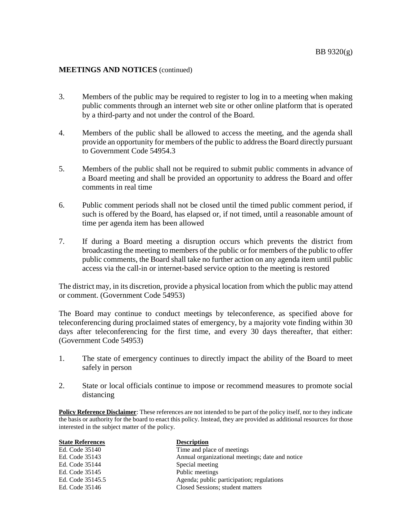- 3. Members of the public may be required to register to log in to a meeting when making public comments through an internet web site or other online platform that is operated by a third-party and not under the control of the Board.
- 4. Members of the public shall be allowed to access the meeting, and the agenda shall provide an opportunity for members of the public to address the Board directly pursuant to Government Code 54954.3
- 5. Members of the public shall not be required to submit public comments in advance of a Board meeting and shall be provided an opportunity to address the Board and offer comments in real time
- 6. Public comment periods shall not be closed until the timed public comment period, if such is offered by the Board, has elapsed or, if not timed, until a reasonable amount of time per agenda item has been allowed
- 7. If during a Board meeting a disruption occurs which prevents the district from broadcasting the meeting to members of the public or for members of the public to offer public comments, the Board shall take no further action on any agenda item until public access via the call-in or internet-based service option to the meeting is restored

The district may, in its discretion, provide a physical location from which the public may attend or comment. (Government Code 54953)

The Board may continue to conduct meetings by teleconference, as specified above for teleconferencing during proclaimed states of emergency, by a majority vote finding within 30 days after teleconferencing for the first time, and every 30 days thereafter, that either: (Government Code 54953)

- 1. The state of emergency continues to directly impact the ability of the Board to meet safely in person
- 2. State or local officials continue to impose or recommend measures to promote social distancing

**Policy Reference Disclaimer**: These references are not intended to be part of the policy itself, nor to they indicate the basis or authority for the board to enact this policy. Instead, they are provided as additional resources for those interested in the subject matter of the policy.

| <b>State References</b> | <b>Description</b>                              |
|-------------------------|-------------------------------------------------|
| Ed. Code 35140          | Time and place of meetings                      |
| Ed. Code 35143          | Annual organizational meetings; date and notice |
| Ed. Code 35144          | Special meeting                                 |
| Ed. Code 35145          | Public meetings                                 |
| Ed. Code 35145.5        | Agenda; public participation; regulations       |
| Ed. Code 35146          | Closed Sessions; student matters                |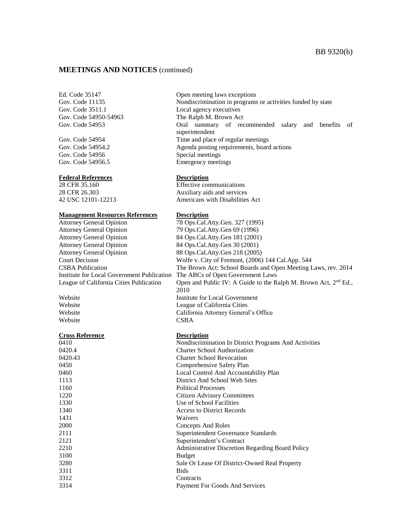Gov. Code 3511.1 Local agency executives

Gov. Code 54956 Special meetings

#### **Federal References Description**

**Management Resources References Description** 

Attorney General Opinion 79 Ops.Cal.Atty.Gen 69 (1996) Attorney General Opinion 84 Ops.Cal.Atty.Gen 181 (2001) Attorney General Opinion 84 Ops.Cal.Atty.Gen 30 (2001) Attorney General Opinion 88 Ops.Cal.Atty.Gen 218 (2005) Institute for Local Government Publication The ABCs of Open Government Laws

Website CSBA

#### **Cross Reference Description**

1431 Waivers 3100 Budget 3311 Bids

Ed. Code 35147 Open meeting laws exceptions Gov. Code 11135 Nondiscrimination in programs or activities funded by state Gov. Code 54950-54963 The Ralph M. Brown Act Gov. Code 54953 Oral summary of recommended salary and benefits of superintendent Gov. Code 54954 Time and place of regular meetings Gov. Code 54954.2 Agenda posting requirements, board actions Gov. Code 54956.5 Emergency meetings

28 CFR 35.160 Effective communications 28 CFR 26.303 Auxiliary aids and services 42 USC 12101-12213 Americans with Disabilities Act

Attorney General Opinion 78 Ops.Cal.Atty.Gen. 327 (1995) Court Decision Wolfe v. City of Fremont, (2006) 144 Cal.App. 544 CSBA Publication The Brown Act: School Boards and Open Meeting Laws, rev. 2014 League of California Cities Publication Open and Public IV: A Guide to the Ralph M. Brown Act,  $2^{nd}$  Ed., 2010 Website Institute for Local Government Website League of California Cities Website California Attorney General's Office

 Nondiscrimination In District Programs And Activities 0420.4 Charter School Authorization 0420.43 Charter School Revocation Comprehensive Safety Plan Local Control And Accountability Plan District And School Web Sites Political Processes Citizen Advisory Committees Use of School Facilities Access to District Records Concepts And Roles Superintendent Governance Standards Superintendent's Contract Administrative Discretion Regarding Board Policy Sale Or Lease Of District-Owned Real Property Contracts Payment For Goods And Services